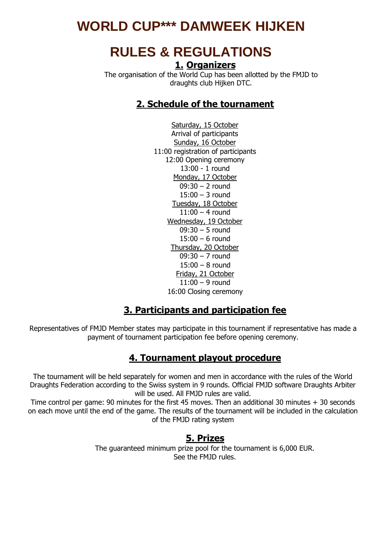# **WORLD CUP\*\*\* DAMWEEK HIJKEN**

# **RULES & REGULATIONS 1. Organizers**

The organisation of the World Cup has been allotted by the FMJD to draughts club Hijken DTC.

## **2. Schedule of the tournament**

Saturday, 15 October Arrival of participants Sunday, 16 October 11:00 registration of participants 12:00 Opening ceremony 13:00 - 1 round Monday, 17 October 09:30 – 2 round  $15:00 - 3$  round Tuesday, 18 October  $11:00 - 4$  round Wednesday, 19 October 09:30 – 5 round 15:00 – 6 round Thursday, 20 October 09:30 – 7 round 15:00 – 8 round Friday, 21 October 11:00 – 9 round 16:00 Closing ceremony

#### **3. Participants and participation fee**

Representatives of FMJD Member states may participate in this tournament if representative has made a payment of tournament participation fee before opening ceremony.

#### **4. Tournament playout procedure**

The tournament will be held separately for women and men in accordance with the rules of the World Draughts Federation according to the Swiss system in 9 rounds. Official FMJD software Draughts Arbiter will be used. All FMJD rules are valid.

Time control per game: 90 minutes for the first 45 moves. Then an additional 30 minutes + 30 seconds on each move until the end of the game. The results of the tournament will be included in the calculation of the FMJD rating system

#### **5. Prizes**

The guaranteed minimum prize pool for the tournament is 6,000 EUR. See the FMJD rules.